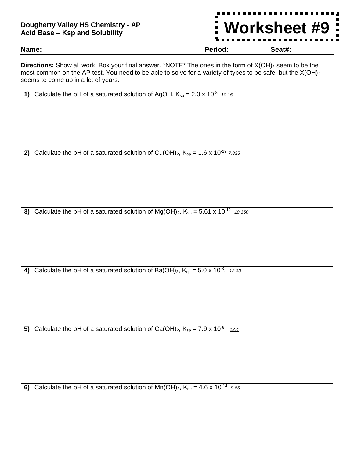## **Dougherty Valley HS Chemistry - AP Acid Base – Ksp and Solubility**

**Name: Period: Seat#:**

**Worksheet #9**

**Directions:** Show all work. Box your final answer. \*NOTE\* The ones in the form of X(OH)<sub>2</sub> seem to be the most common on the AP test. You need to be able to solve for a variety of types to be safe, but the  $X(OH)_2$ seems to come up in a lot of years.

| 1) | Calculate the pH of a saturated solution of AgOH, $K_{sp} = 2.0 \times 10^{-8}$ 10.15                      |
|----|------------------------------------------------------------------------------------------------------------|
|    |                                                                                                            |
|    |                                                                                                            |
|    |                                                                                                            |
|    |                                                                                                            |
|    | 2) Calculate the pH of a saturated solution of Cu(OH) <sub>2</sub> , $K_{sp} = 1.6 \times 10^{-19}$ 7.835  |
|    |                                                                                                            |
|    |                                                                                                            |
|    |                                                                                                            |
|    |                                                                                                            |
|    |                                                                                                            |
| 3) | Calculate the pH of a saturated solution of Mg(OH) <sub>2</sub> , $K_{sp} = 5.61 \times 10^{-12}$ 10.350   |
|    |                                                                                                            |
|    |                                                                                                            |
|    |                                                                                                            |
|    |                                                                                                            |
|    |                                                                                                            |
|    | 4) Calculate the pH of a saturated solution of Ba(OH) <sub>2</sub> , $K_{sp} = 5.0 \times 10^{-3}$ . 13.33 |
|    |                                                                                                            |
|    |                                                                                                            |
|    |                                                                                                            |
|    |                                                                                                            |
| 5) | Calculate the pH of a saturated solution of Ca(OH) <sub>2</sub> , $K_{sp} = 7.9 \times 10^{-6}$<br>12.4    |
|    |                                                                                                            |
|    |                                                                                                            |
|    |                                                                                                            |
|    |                                                                                                            |
|    |                                                                                                            |
| 6) | Calculate the pH of a saturated solution of $Mn(OH)_2$ , $K_{sp} = 4.6 \times 10^{-14}$ 9.65               |
|    |                                                                                                            |
|    |                                                                                                            |
|    |                                                                                                            |
|    |                                                                                                            |